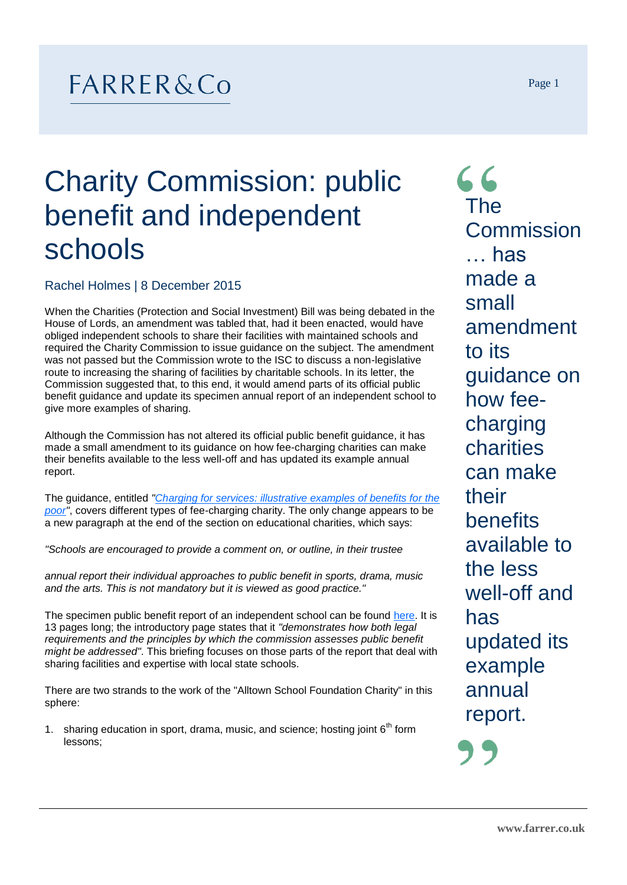## $FARRER&Co$

## Charity Commission: public benefit and independent schools

Rachel Holmes | 8 December 2015

When the Charities (Protection and Social Investment) Bill was being debated in the House of Lords, an amendment was tabled that, had it been enacted, would have obliged independent schools to share their facilities with maintained schools and required the Charity Commission to issue guidance on the subject. The amendment was not passed but the Commission wrote to the ISC to discuss a non-legislative route to increasing the sharing of facilities by charitable schools. In its letter, the Commission suggested that, to this end, it would amend parts of its official public benefit guidance and update its specimen annual report of an independent school to give more examples of sharing.

Although the Commission has not altered its official public benefit guidance, it has made a small amendment to its guidance on how fee-charging charities can make their benefits available to the less well-off and has updated its example annual report.

The guidance, entitled *["Charging for services: illustrative examples of benefits for the](https://www.gov.uk/government/publications/charging-for-services/charging-for-services-illustrative-examples-of-benefits-for-the-poor)  [poor"](https://www.gov.uk/government/publications/charging-for-services/charging-for-services-illustrative-examples-of-benefits-for-the-poor)*, covers different types of fee-charging charity. The only change appears to be a new paragraph at the end of the section on educational charities, which says:

*"Schools are encouraged to provide a comment on, or outline, in their trustee* 

*annual report their individual approaches to public benefit in sports, drama, music and the arts. This is not mandatory but it is viewed as good practice."*

The specimen public benefit report of an independent school can be found [here.](https://www.gov.uk/government/uploads/system/uploads/attachment_data/file/466307/pbexalltown.pdf) It is 13 pages long; the introductory page states that it *"demonstrates how both legal requirements and the principles by which the commission assesses public benefit might be addressed"*. This briefing focuses on those parts of the report that deal with sharing facilities and expertise with local state schools.

There are two strands to the work of the "Alltown School Foundation Charity" in this sphere:

1. sharing education in sport, drama, music, and science; hosting joint  $6<sup>th</sup>$  form lessons;

 $66$ The **Commission** … has made a small amendment to its guidance on how feecharging charities can make their benefits available to the less well-off and has updated its example annual report.